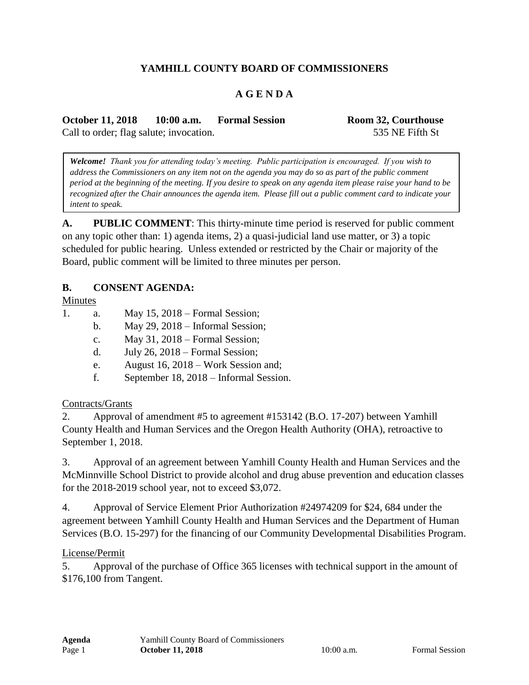# **YAMHILL COUNTY BOARD OF COMMISSIONERS**

## **A G E N D A**

**October 11, 2018 10:00 a.m. Formal Session Room 32, Courthouse** Call to order; flag salute; invocation. 535 NE Fifth St

*Welcome! Thank you for attending today's meeting. Public participation is encouraged. If you wish to address the Commissioners on any item not on the agenda you may do so as part of the public comment period at the beginning of the meeting. If you desire to speak on any agenda item please raise your hand to be recognized after the Chair announces the agenda item. Please fill out a public comment card to indicate your intent to speak.*

**A. PUBLIC COMMENT**: This thirty-minute time period is reserved for public comment on any topic other than: 1) agenda items, 2) a quasi-judicial land use matter, or 3) a topic scheduled for public hearing. Unless extended or restricted by the Chair or majority of the Board, public comment will be limited to three minutes per person.

#### **B. CONSENT AGENDA:**

Minutes

- 1. a. May 15, 2018 Formal Session;
	- b. May 29, 2018 Informal Session;
	- c. May 31, 2018 Formal Session;
	- d. July 26, 2018 Formal Session;
	- e. August 16, 2018 Work Session and;
	- f. September 18, 2018 Informal Session.

#### Contracts/Grants

2. Approval of amendment #5 to agreement #153142 (B.O. 17-207) between Yamhill County Health and Human Services and the Oregon Health Authority (OHA), retroactive to September 1, 2018.

3. Approval of an agreement between Yamhill County Health and Human Services and the McMinnville School District to provide alcohol and drug abuse prevention and education classes for the 2018-2019 school year, not to exceed \$3,072.

4. Approval of Service Element Prior Authorization #24974209 for \$24, 684 under the agreement between Yamhill County Health and Human Services and the Department of Human Services (B.O. 15-297) for the financing of our Community Developmental Disabilities Program.

#### License/Permit

5. Approval of the purchase of Office 365 licenses with technical support in the amount of \$176,100 from Tangent.